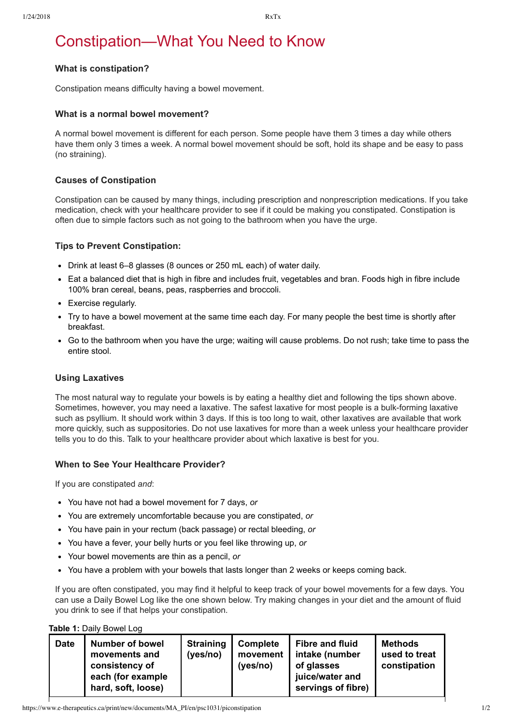# Constipation—What You Need to Know

## **What is constipation?**

Constipation means difficulty having a bowel movement.

#### **What is a normal bowel movement?**

A normal bowel movement is different for each person. Some people have them 3 times a day while others have them only 3 times a week. A normal bowel movement should be soft, hold its shape and be easy to pass (no straining).

### **Causes of Constipation**

Constipation can be caused by many things, including prescription and nonprescription medications. If you take medication, check with your healthcare provider to see if it could be making you constipated. Constipation is often due to simple factors such as not going to the bathroom when you have the urge.

### **Tips to Prevent Constipation:**

- Drink at least 6–8 glasses (8 ounces or 250 mL each) of water daily.
- Eat a balanced diet that is high in fibre and includes fruit, vegetables and bran. Foods high in fibre include 100% bran cereal, beans, peas, raspberries and broccoli.
- Exercise regularly.
- Try to have a bowel movement at the same time each day. For many people the best time is shortly after breakfast.
- Go to the bathroom when you have the urge; waiting will cause problems. Do not rush; take time to pass the entire stool.

#### **Using Laxatives**

The most natural way to regulate your bowels is by eating a healthy diet and following the tips shown above. Sometimes, however, you may need a laxative. The safest laxative for most people is a bulk-forming laxative such as psyllium. It should work within 3 days. If this is too long to wait, other laxatives are available that work more quickly, such as suppositories. Do not use laxatives for more than a week unless your healthcare provider tells you to do this. Talk to your healthcare provider about which laxative is best for you.

#### **When to See Your Healthcare Provider?**

If you are constipated *and*:

- You have not had a bowel movement for 7 days, *or*
- You are extremely uncomfortable because you are constipated, *or*
- You have pain in your rectum (back passage) or rectal bleeding, *or*
- You have a fever, your belly hurts or you feel like throwing up, *or*
- Your bowel movements are thin as a pencil, *or*
- You have a problem with your bowels that lasts longer than 2 weeks or keeps coming back.

If you are often constipated, you may find it helpful to keep track of your bowel movements for a few days. You can use a Daily Bowel Log like the one shown below. Try making changes in your diet and the amount of fluid you drink to see if that helps your constipation.

#### **Table 1:** Daily Bowel Log

| <b>Date</b> | <b>Number of bowel</b><br>movements and<br>consistency of<br>each (for example<br>hard, soft, loose) | <b>Straining</b><br>(yes/no) | <b>Complete</b><br>movement<br>(yes/no) | <b>Fibre and fluid</b><br>intake (number<br>of glasses<br>juice/water and<br>servings of fibre) | <b>Methods</b><br>used to treat<br>constipation |
|-------------|------------------------------------------------------------------------------------------------------|------------------------------|-----------------------------------------|-------------------------------------------------------------------------------------------------|-------------------------------------------------|
|-------------|------------------------------------------------------------------------------------------------------|------------------------------|-----------------------------------------|-------------------------------------------------------------------------------------------------|-------------------------------------------------|